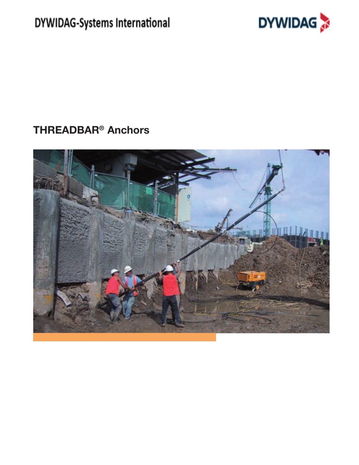DYWIDAG-Systems International



# **THREADBAR<sup>®</sup> Anchors**

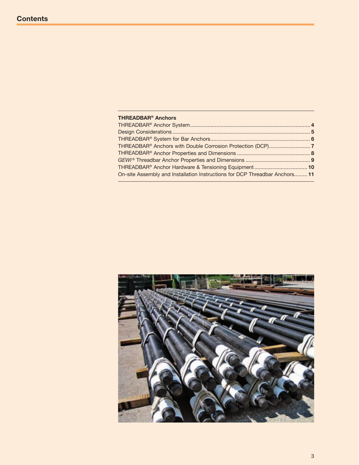| <b>THREADBAR<sup>®</sup> Anchors</b>                                        |  |
|-----------------------------------------------------------------------------|--|
|                                                                             |  |
|                                                                             |  |
|                                                                             |  |
|                                                                             |  |
|                                                                             |  |
|                                                                             |  |
| THREADBAR® Anchor Hardware & Tensioning Equipment 10                        |  |
| On-site Assembly and Installation Instructions for DCP Threadbar Anchors 11 |  |
|                                                                             |  |

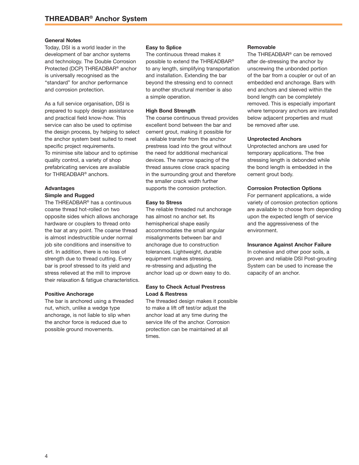#### **General Notes**

Today, DSI is a world leader in the development of bar anchor systems and technology. The Double Corrosion Protected (DCP) THREADBAR® anchor is universally recognised as the "standard" for anchor performance and corrosion protection.

As a full service organisation, DSI is prepared to supply design assistance and practical field know-how. This service can also be used to optimise the design process, by helping to select the anchor system best suited to meet specific project requirements. To minimise site labour and to optimise quality control, a variety of shop prefabricating services are available for THREADBAR<sup>®</sup> anchors.

# **Advantages**

# **Simple and Rugged**

The THREADBAR® has a continuous coarse thread hot-rolled on two opposite sides which allows anchorage hardware or couplers to thread onto the bar at any point. The coarse thread is almost indestructible under normal job site conditions and insensitive to dirt. In addition, there is no loss of strength due to thread cutting. Every bar is proof stressed to its yield and stress relieved at the mill to improve their relaxation & fatigue characteristics.

### **Positive Anchorage**

The bar is anchored using a threaded nut, which, unlike a wedge type anchorage, is not liable to slip when the anchor force is reduced due to possible ground movements.

#### **Easy to Splice**

The continuous thread makes it possible to extend the THREADBAR® to any length, simplifying transportation and installation. Extending the bar beyond the stressing end to connect to another structural member is also a simple operation.

#### **High Bond Strength**

The coarse continuous thread provides excellent bond between the bar and cement grout, making it possible for a reliable transfer from the anchor prestress load into the grout without the need for additional mechanical devices. The narrow spacing of the thread assures close crack spacing in the surrounding grout and therefore the smaller crack width further supports the corrosion protection.

#### **Easy to Stress**

The reliable threaded nut anchorage has almost no anchor set. Its hemispherical shape easily accommodates the small angular misalignments between bar and anchorage due to construction tolerances. Lightweight, durable equipment makes stressing, re-stressing and adjusting the anchor load up or down easy to do.

# **Easy to Check Actual Prestress Load & Restress**

The threaded design makes it possible to make a lift off test/or adjust the anchor load at any time during the service life of the anchor. Corrosion protection can be maintained at all times.

#### **Removable**

The THREADBAR® can be removed after de-stressing the anchor by unscrewing the unbonded portion of the bar from a coupler or out of an embedded end anchorage. Bars with end anchors and sleeved within the bond length can be completely removed. This is especially important where temporary anchors are installed below adjacent properties and must be removed after use.

#### **Unprotected Anchors**

Unprotected anchors are used for temporary applications. The free stressing length is debonded while the bond length is embedded in the cement grout body.

#### **Corrosion Protection Options**

For permanent applications, a wide variety of corrosion protection options are available to choose from depending upon the expected length of service and the aggressiveness of the environment.

#### **Insurance Against Anchor Failure**

In cohesive and other poor soils, a proven and reliable DSI Post-grouting System can be used to increase the capacity of an anchor.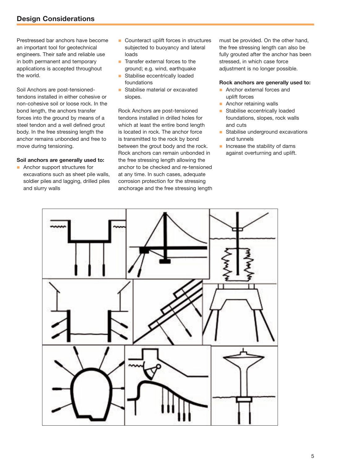# **Design Considerations**

Prestressed bar anchors have become an important tool for geotechnical engineers. Their safe and reliable use in both permanent and temporary applications is accepted throughout the world.

Soil Anchors are post-tensionedtendons installed in either cohesive or non-cohesive soil or loose rock. In the bond length, the anchors transfer forces into the ground by means of a steel tendon and a well defined grout body. In the free stressing length the anchor remains unbonded and free to move during tensioning.

## **Soil anchors are generally used to:**

**n** Anchor support structures for excavations such as sheet pile walls, soldier piles and lagging, drilled piles and slurry walls

- Counteract uplift forces in structures subjected to buoyancy and lateral loads
- **n** Transfer external forces to the ground; e.g. wind, earthquake
- **n** Stabilise eccentrically loaded foundations
- Stabilise material or excavated slopes.

Rock Anchors are post-tensioned tendons installed in drilled holes for which at least the entire bond length is located in rock. The anchor force is transmitted to the rock by bond between the grout body and the rock. Rock anchors can remain unbonded in the free stressing length allowing the anchor to be checked and re-tensioned at any time. In such cases, adequate corrosion protection for the stressing anchorage and the free stressing length must be provided. On the other hand, the free stressing length can also be fully grouted after the anchor has been stressed, in which case force adjustment is no longer possible.

#### **Rock anchors are generally used to:**

- **n** Anchor external forces and uplift forces
- $\blacksquare$  Anchor retaining walls
- **n** Stabilise eccentrically loaded foundations, slopes, rock walls and cuts
- **n** Stabilise underground excavations and tunnels
- $\blacksquare$  Increase the stability of dams against overturning and uplift.

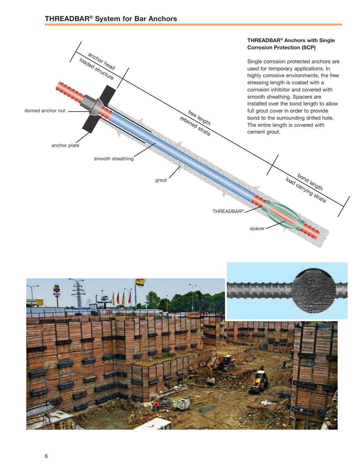

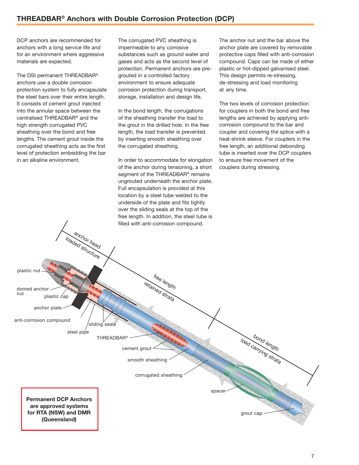DCP anchors are recommended for anchors with a long service life and for an environment where aggressive materials are expected.

The DSI permanent THREADBAR® anchors use a double corrosion protection system to fully encapsulate the steel bars over their entire length. It consists of cement grout injected into the annular space between the centralised THREADBAR<sup>®</sup> and the high strength corrugated PVC sheathing over the bond and free lengths. The cement grout inside the corrugated sheathing acts as the first level of protection embedding the bar in an alkaline environment.

The corrugated PVC sheathing is impermeable to any corrosive substances such as ground water and gases and acts as the second level of protection. Permanent anchors are pregrouted in a controlled factory environment to ensure adequate corrosion protection during transport, storage, installation and design life.

In the bond length, the corrugations of the sheathing transfer the load to the grout in the drilled hole. In the free length, the load transfer is prevented by inserting smooth sheathing over the corrugated sheathing.

In order to accommodate for elongation of the anchor during tensioning, a short segment of the THREADBAR® remains ungrouted underneath the anchor plate. Full encapsulation is provided at this location by a steel tube welded to the underside of the plate and fits tightly over the sliding seals at the top of the free length. In addition, the steel tube is

The anchor nut and the bar above the anchor plate are covered by removable protective caps filled with anti-corrosion compound. Caps can be made of either plastic or hot-dipped galvanised steel. This design permits re-stressing, de-stressing and load monitoring at any time.

The two levels of corrosion protection for couplers in both the bond and free lengths are achieved by applying anticorrosion compound to the bar and coupler and covering the splice with a heat-shrink sleeve. For couplers in the free length, an additional debonding tube is inserted over the DCP couplers to ensure free movement of the couplers during stressing.

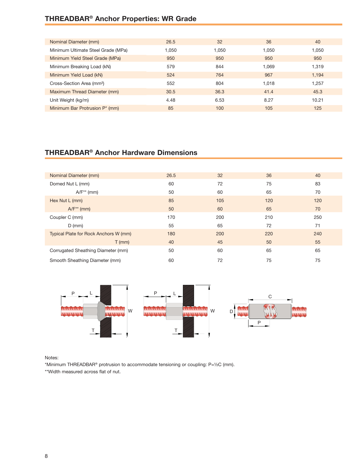# **Threadbar® Anchor Properties: WR Grade**

| Nominal Diameter (mm)                 | 26.5  | 32    | 36    | 40    |
|---------------------------------------|-------|-------|-------|-------|
| Minimum Ultimate Steel Grade (MPa)    | 1.050 | 1.050 | 1,050 | 1.050 |
| Minimum Yield Steel Grade (MPa)       | 950   | 950   | 950   | 950   |
| Minimum Breaking Load (kN)            | 579   | 844   | 1,069 | 1,319 |
| Minimum Yield Load (kN)               | 524   | 764   | 967   | 1.194 |
| Cross-Section Area (mm <sup>2</sup> ) | 552   | 804   | 1,018 | 1,257 |
| Maximum Thread Diameter (mm)          | 30.5  | 36.3  | 41.4  | 45.3  |
| Unit Weight (kg/m)                    | 4.48  | 6.53  | 8.27  | 10.21 |
| Minimum Bar Protrusion P* (mm)        | 85    | 100   | 105   | 125   |

# **Threadbar® Anchor Hardware Dimensions**

| Nominal Diameter (mm)                 | 26.5 | 32  | 36  | 40  |
|---------------------------------------|------|-----|-----|-----|
| Domed Nut L (mm)                      | 60   | 72  | 75  | 83  |
| $A/F^{**}$ (mm)                       | 50   | 60  | 65  | 70  |
| Hex Nut L (mm)                        | 85   | 105 | 120 | 120 |
| $AYF^{\ast\ast}$ (mm)                 | 50   | 60  | 65  | 70  |
| Coupler C (mm)                        | 170  | 200 | 210 | 250 |
| $D$ (mm)                              | 55   | 65  | 72  | 71  |
| Typical Plate for Rock Anchors W (mm) | 180  | 200 | 220 | 240 |
| $T$ (mm)                              | 40   | 45  | 50  | 55  |
| Corrugated Sheathing Diameter (mm)    | 50   | 60  | 65  | 65  |
| Smooth Sheathing Diameter (mm)        | 60   | 72  | 75  | 75  |



Notes:

\*Minimum Threadbar® protrusion to accommodate tensioning or coupling: P=½C (mm). \*\*Width measured across flat of nut.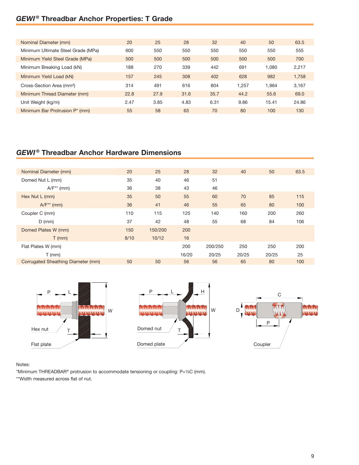# *GEWI ®* **Threadbar Anchor Properties: T Grade**

| Nominal Diameter (mm)                      | 20   | 25   | 28   | 32   | 40    | 50    | 63.5  |
|--------------------------------------------|------|------|------|------|-------|-------|-------|
| Minimum Ultimate Steel Grade (MPa)         | 600  | 550  | 550  | 550  | 550   | 550   | 555   |
| Minimum Yield Steel Grade (MPa)            | 500  | 500  | 500  | 500  | 500   | 500   | 700   |
| Minimum Breaking Load (kN)                 | 188  | 270  | 339  | 442  | 691   | 1.080 | 2,217 |
| Minimum Yield Load (kN)                    | 157  | 245  | 308  | 402  | 628   | 982   | 1.758 |
| Cross-Section Area (mm <sup>2</sup> )      | 314  | 491  | 616  | 804  | 1.257 | 1.964 | 3,167 |
| Minimum Thread Diameter (mm)               | 22.8 | 27.9 | 31.6 | 35.7 | 44.2  | 55.6  | 69.0  |
| Unit Weight (kg/m)                         | 2.47 | 3.85 | 4.83 | 6.31 | 9.86  | 15.41 | 24.86 |
| Minimum Bar Protrusion P <sup>*</sup> (mm) | 55   | 58   | 63   | 70   | 80    | 100   | 130   |

# *GEWI ®* **Threadbar Anchor Hardware Dimensions**

| Nominal Diameter (mm)              | 20   | 25      | 28    | 32      | 40    | 50    | 63.5 |
|------------------------------------|------|---------|-------|---------|-------|-------|------|
| Domed Nut L (mm)                   | 35   | 40      | 46    | 51      |       |       |      |
| $A/F^{**}$ (mm)                    | 36   | 38      | 43    | 46      |       |       |      |
| Hex Nut L (mm)                     | 35   | 50      | 55    | 60      | 70    | 85    | 115  |
| $A/F^*$ (mm)                       | 36   | 41      | 46    | 55      | 65    | 80    | 100  |
| Coupler C (mm)                     | 110  | 115     | 125   | 140     | 160   | 200   | 260  |
| $D$ (mm)                           | 37   | 42      | 48    | 55      | 68    | 84    | 106  |
| Domed Plates W (mm)                | 150  | 150/200 | 200   |         |       |       |      |
| $T$ (mm)                           | 8/10 | 10/12   | 16    |         |       |       |      |
| Flat Plates W (mm)                 |      |         | 200   | 200/250 | 250   | 250   | 200  |
| $T$ (mm)                           |      |         | 16/20 | 20/25   | 20/25 | 20/25 | 25   |
| Corrugated Sheathing Diameter (mm) | 50   | 50      | 56    | 56      | 65    | 80    | 100  |





## Notes:

\*Minimum Threadbar® protrusion to accommodate tensioning or coupling: P=½C (mm). \*\*Width measured across flat of nut.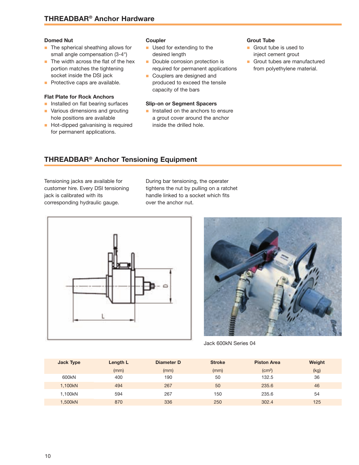#### **Domed Nut**

- $\blacksquare$  The spherical sheathing allows for small angle compensation (3-4°)
- $\blacksquare$  The width across the flat of the hex portion matches the tightening socket inside the DSI jack
- **n** Protective caps are available.

# **Flat Plate for Rock Anchors**

- n Installed on flat bearing surfaces
- **No. 7** Various dimensions and grouting
- hole positions are available **n** Hot-dipped galvanising is required
- for permanent applications.

#### **Coupler**

- **n** Used for extending to the desired length
- Double corrosion protection is required for permanent applications
- **n** Couplers are designed and produced to exceed the tensile capacity of the bars

#### **Slip-on or Segment Spacers**

**n** Installed on the anchors to ensure a grout cover around the anchor inside the drilled hole.

#### **Grout Tube**

- **n** Grout tube is used to inject cement grout
- **n** Grout tubes are manufactured from polyethylene material.

# **Threadbar® Anchor Tensioning Equipment**

Tensioning jacks are available for customer hire. Every DSI tensioning jack is calibrated with its corresponding hydraulic gauge.

During bar tensioning, the operater tightens the nut by pulling on a ratchet handle linked to a socket which fits over the anchor nut.





Jack 600kN Series 04

| <b>Jack Type</b>  | Length L | Diameter D | <b>Stroke</b> | <b>Piston Area</b> | Weight |
|-------------------|----------|------------|---------------|--------------------|--------|
|                   | (mm)     | (mm)       | (mm)          | (cm <sup>2</sup> ) | (kg)   |
| 600 <sub>kN</sub> | 400      | 190        | 50            | 132.5              | 36     |
| 1,100kN           | 494      | 267        | 50            | 235.6              | 46     |
| 1.100kN           | 594      | 267        | 150           | 235.6              | 54     |
| 1,500kN           | 870      | 336        | 250           | 302.4              | 125    |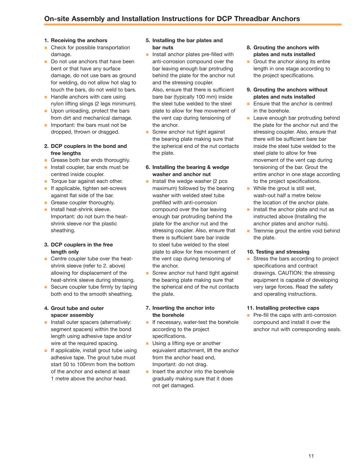# **1. Receiving the anchors**

- $\blacksquare$  Check for possible transportation damage.
- Do not use anchors that have been bent or that have any surface damage, do not use bars as ground for welding, do not allow hot slag to touch the bars, do not weld to bars.
- **Handle anchors with care using** nylon lifting slings (2 legs minimum).
- $\blacksquare$  Upon unloading, protect the bars from dirt and mechanical damage.
- $\blacksquare$  Important: the bars must not be dropped, thrown or dragged.

## **2. DCP couplers in the bond and free lengths**

- **n** Grease both bar ends thoroughly.
- $\blacksquare$  Install coupler, bar ends must be centred inside coupler.
- **n** Torque bar against each other.
- $\blacksquare$  If applicable, tighten set-screws against flat side of the bar.
- **n** Grease coupler thoroughly.
- $\blacksquare$  Install heat-shrink sleeve. Important: do not burn the heatshrink sleeve nor the plastic sheathing.

### **3. DCP couplers in the free length only**

- Centre coupler tube over the heatshrink sleeve (refer to 2. above) allowing for displacement of the heat-shrink sleeve during stressing.
- Secure coupler tube firmly by taping both end to the smooth sheathing.

#### **4. Grout tube and outer spacer assembly**

- n Install outer spacers (alternatively: segment spacers) within the bond length using adhesive tape and/or wire at the required spacing.
- $\blacksquare$  If applicable, install grout tube using adhesive tape. The grout tube must start 50 to 100mm from the bottom of the anchor and extend at least 1 metre above the anchor head.

# **5. Installing the bar plates and bar nuts**

**n** Install anchor plates pre-filled with anti-corrosion compound over the bar leaving enough bar protruding behind the plate for the anchor nut and the stressing coupler.

Also, ensure that there is sufficient bare bar (typically 100 mm) inside the steel tube welded to the steel plate to allow for free movement of the vent cap during tensioning of the anchor.

- Screw anchor nut tight against the bearing plate making sure that the spherical end of the nut contacts the plate.
- **6. Installing the bearing & wedge washer and anchor nut**
- $\blacksquare$  Install the wedge washer (2 pcs maximum) followed by the bearing washer with welded steel tube prefilled with anti-corrosion compound over the bar leaving enough bar protruding behind the plate for the anchor nut and the stressing coupler. Also, ensure that there is sufficient bare bar inside to steel tube welded to the steel plate to allow for free movement of the vent cap during tensioning of the anchor.
- Screw anchor nut hand tight against the bearing plate making sure that the spherical end of the nut contacts the plate.

# **7. Inserting the anchor into the borehole**

- **n** If necessary, water-test the borehole according to the project specifications.
- **n** Using a lifting eye or another equivalent attachment, lift the anchor from the anchor head end, Important: do not drag.
- $\blacksquare$  Insert the anchor into the borehole gradually making sure that it does not get damaged.
- **8. Grouting the anchors with plates and nuts installed**
- $\blacksquare$  Grout the anchor along its entire length in one stage according to the project specifications.

# **9. Grouting the anchors without plates and nuts installed**

- Ensure that the anchor is centred in the borehole.
- **n** Leave enough bar protruding behind the plate for the anchor nut and the stressing coupler. Also, ensure that there will be sufficient bare bar inside the steel tube welded to the steel plate to allow for free movement of the vent cap during tensioning of the bar. Grout the entire anchor in one stage according to the project specifications.
- $\blacksquare$  While the grout is still wet, wash-out half a metre below the location of the anchor plate.
- $\blacksquare$  Install the anchor plate and nut as instructed above (Installing the anchor plates and anchor nuts).
- **n** Tremmie grout the entire void behind the plate.

### **10. Testing and stressing**

Stress the bars according to project specifications and contract drawings. CAUTION: the stressing equipment is capable of developing very large forces. Read the safety and operating instructions.

### **11. Installing protective caps**

**n** Pre-fill the caps with anti-corrosion compound and install it over the anchor nut with corresponding seals.